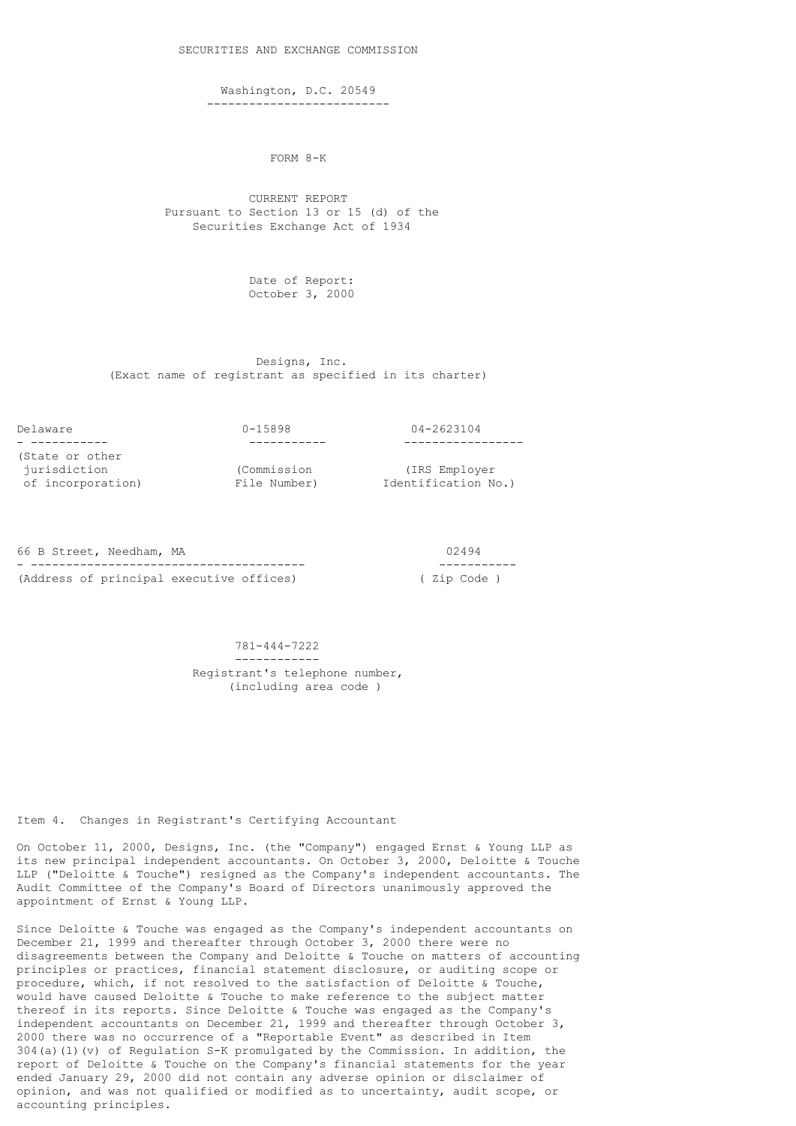Washington, D.C. 20549

--------------------------

FORM 8-K

 CURRENT REPORT Pursuant to Section 13 or 15 (d) of the Securities Exchange Act of 1934

> Date of Report: October 3, 2000

 Designs, Inc. (Exact name of registrant as specified in its charter)

Delaware 0-15898 04-2623104 - ----------- ----------- ----------------- (State or other jurisdiction (Commission (IRS Employer

of incorporation) File Number) Identification No.)

66 B Street, Needham, MA 02494 - --------------------------------------- ----------- (Address of principal executive offices)

 781-444-7222 ------------ Registrant's telephone number, (including area code )

Item 4. Changes in Registrant's Certifying Accountant

On October 11, 2000, Designs, Inc. (the "Company") engaged Ernst & Young LLP as its new principal independent accountants. On October 3, 2000, Deloitte & Touche LLP ("Deloitte & Touche") resigned as the Company's independent accountants. The Audit Committee of the Company's Board of Directors unanimously approved the appointment of Ernst & Young LLP.

Since Deloitte & Touche was engaged as the Company's independent accountants on December 21, 1999 and thereafter through October 3, 2000 there were no disagreements between the Company and Deloitte & Touche on matters of accounting principles or practices, financial statement disclosure, or auditing scope or procedure, which, if not resolved to the satisfaction of Deloitte & Touche, would have caused Deloitte & Touche to make reference to the subject matter thereof in its reports. Since Deloitte & Touche was engaged as the Company's independent accountants on December 21, 1999 and thereafter through October 3, 2000 there was no occurrence of a "Reportable Event" as described in Item  $304(a)$  (1)(v) of Regulation S-K promulgated by the Commission. In addition, the report of Deloitte & Touche on the Company's financial statements for the year ended January 29, 2000 did not contain any adverse opinion or disclaimer of opinion, and was not qualified or modified as to uncertainty, audit scope, or accounting principles.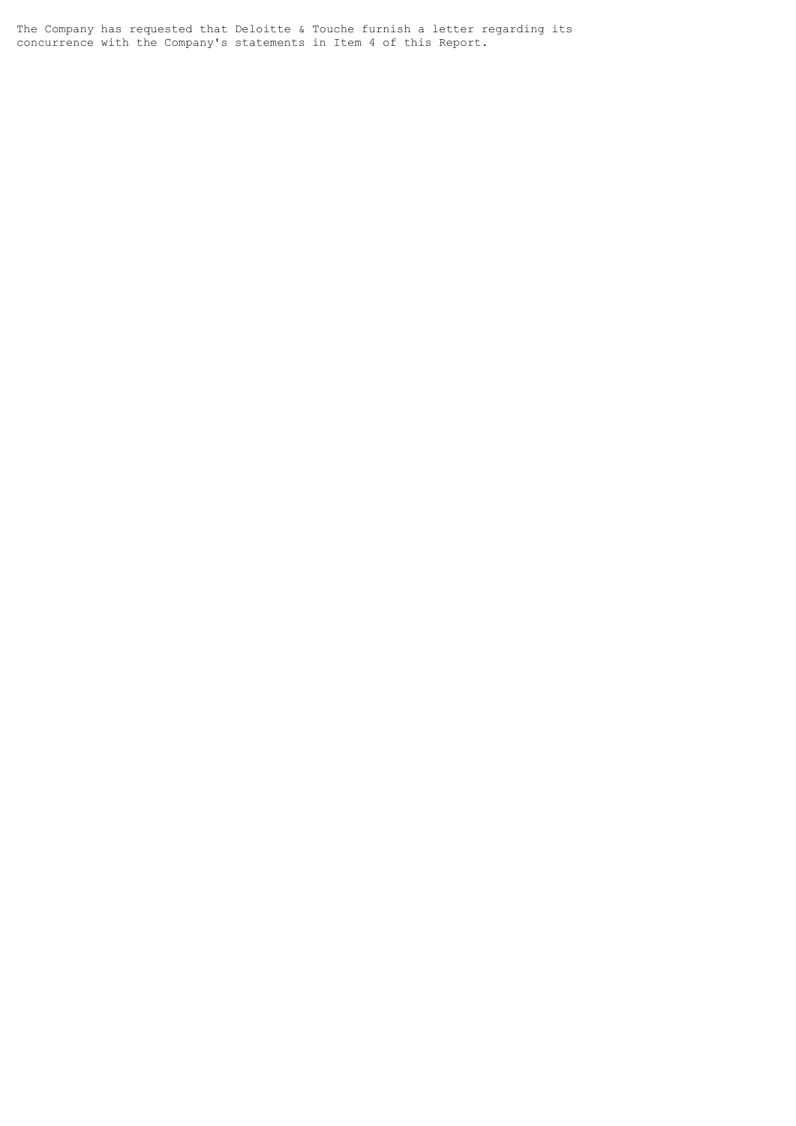The Company has requested that Deloitte & Touche furnish a letter regarding its concurrence with the Company's statements in Item 4 of this Report.